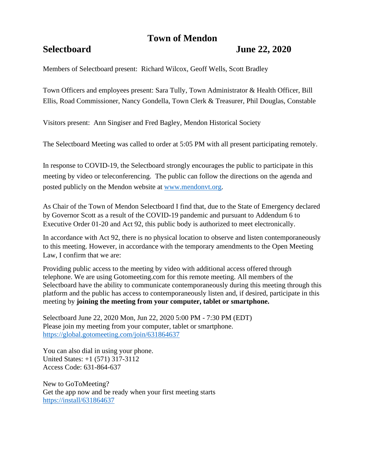# **Town of Mendon**

## **Selectboard June 22, 2020**

Members of Selectboard present: Richard Wilcox, Geoff Wells, Scott Bradley

Town Officers and employees present: Sara Tully, Town Administrator & Health Officer, Bill Ellis, Road Commissioner, Nancy Gondella, Town Clerk & Treasurer, Phil Douglas, Constable

Visitors present: Ann Singiser and Fred Bagley, Mendon Historical Society

The Selectboard Meeting was called to order at 5:05 PM with all present participating remotely.

In response to COVID-19, the Selectboard strongly encourages the public to participate in this meeting by video or teleconferencing. The public can follow the directions on the agenda and posted publicly on the Mendon website at [www.mendonvt.org.](http://www.mendonvt.org/)

As Chair of the Town of Mendon Selectboard I find that, due to the State of Emergency declared by Governor Scott as a result of the COVID-19 pandemic and pursuant to Addendum 6 to Executive Order 01-20 and Act 92, this public body is authorized to meet electronically.

In accordance with Act 92, there is no physical location to observe and listen contemporaneously to this meeting. However, in accordance with the temporary amendments to the Open Meeting Law, I confirm that we are:

Providing public access to the meeting by video with additional access offered through telephone. We are using Gotomeeting.com for this remote meeting. All members of the Selectboard have the ability to communicate contemporaneously during this meeting through this platform and the public has access to contemporaneously listen and, if desired, participate in this meeting by **joining the meeting from your computer, tablet or smartphone.** 

Selectboard June 22, 2020 Mon, Jun 22, 2020 5:00 PM - 7:30 PM (EDT) Please join my meeting from your computer, tablet or smartphone. <https://global.gotomeeting.com/join/631864637>

You can also dial in using your phone. United States: +1 (571) 317-3112 Access Code: 631-864-637

New to GoToMeeting? Get the app now and be ready when your first meeting starts <https://install/631864637>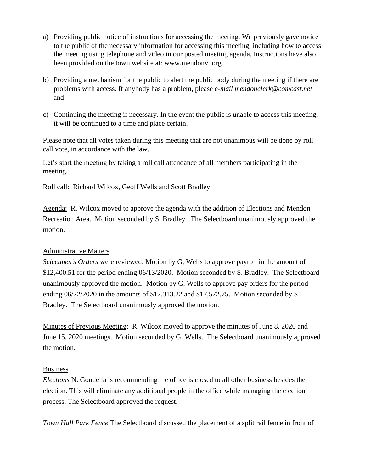- a) Providing public notice of instructions for accessing the meeting. We previously gave notice to the public of the necessary information for accessing this meeting, including how to access the meeting using telephone and video in our posted meeting agenda. Instructions have also been provided on the town website at: www.mendonvt.org.
- b) Providing a mechanism for the public to alert the public body during the meeting if there are problems with access. If anybody has a problem, please *e-mail mendonclerk@comcast.net* and
- c) Continuing the meeting if necessary. In the event the public is unable to access this meeting, it will be continued to a time and place certain.

Please note that all votes taken during this meeting that are not unanimous will be done by roll call vote, in accordance with the law.

Let's start the meeting by taking a roll call attendance of all members participating in the meeting.

Roll call: Richard Wilcox, Geoff Wells and Scott Bradley

Agenda: R. Wilcox moved to approve the agenda with the addition of Elections and Mendon Recreation Area. Motion seconded by S, Bradley. The Selectboard unanimously approved the motion.

### Administrative Matters

*Selectmen's Orders* were reviewed. Motion by G, Wells to approve payroll in the amount of \$12,400.51 for the period ending 06/13/2020. Motion seconded by S. Bradley. The Selectboard unanimously approved the motion. Motion by G. Wells to approve pay orders for the period ending 06/22/2020 in the amounts of \$12,313.22 and \$17,572.75. Motion seconded by S. Bradley. The Selectboard unanimously approved the motion.

Minutes of Previous Meeting: R. Wilcox moved to approve the minutes of June 8, 2020 and June 15, 2020 meetings. Motion seconded by G. Wells. The Selectboard unanimously approved the motion.

### Business

*Elections* N. Gondella is recommending the office is closed to all other business besides the election. This will eliminate any additional people in the office while managing the election process. The Selectboard approved the request.

*Town Hall Park Fence* The Selectboard discussed the placement of a split rail fence in front of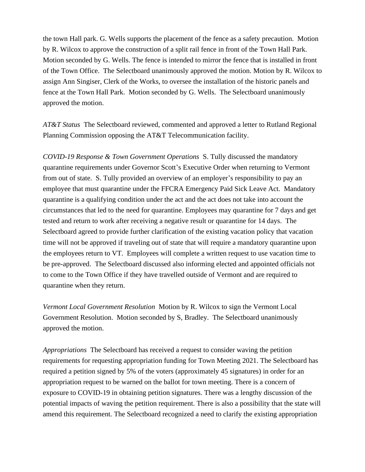the town Hall park. G. Wells supports the placement of the fence as a safety precaution. Motion by R. Wilcox to approve the construction of a split rail fence in front of the Town Hall Park. Motion seconded by G. Wells. The fence is intended to mirror the fence that is installed in front of the Town Office. The Selectboard unanimously approved the motion. Motion by R. Wilcox to assign Ann Singiser, Clerk of the Works, to oversee the installation of the historic panels and fence at the Town Hall Park. Motion seconded by G. Wells. The Selectboard unanimously approved the motion.

*AT&T Status* The Selectboard reviewed, commented and approved a letter to Rutland Regional Planning Commission opposing the AT&T Telecommunication facility.

*COVID-19 Response & Town Government Operations* S. Tully discussed the mandatory quarantine requirements under Governor Scott's Executive Order when returning to Vermont from out of state. S. Tully provided an overview of an employer's responsibility to pay an employee that must quarantine under the FFCRA Emergency Paid Sick Leave Act. Mandatory quarantine is a qualifying condition under the act and the act does not take into account the circumstances that led to the need for quarantine. Employees may quarantine for 7 days and get tested and return to work after receiving a negative result or quarantine for 14 days. The Selectboard agreed to provide further clarification of the existing vacation policy that vacation time will not be approved if traveling out of state that will require a mandatory quarantine upon the employees return to VT. Employees will complete a written request to use vacation time to be pre-approved. The Selectboard discussed also informing elected and appointed officials not to come to the Town Office if they have travelled outside of Vermont and are required to quarantine when they return.

*Vermont Local Government Resolution* Motion by R. Wilcox to sign the Vermont Local Government Resolution. Motion seconded by S, Bradley. The Selectboard unanimously approved the motion.

*Appropriations* The Selectboard has received a request to consider waving the petition requirements for requesting appropriation funding for Town Meeting 2021. The Selectboard has required a petition signed by 5% of the voters (approximately 45 signatures) in order for an appropriation request to be warned on the ballot for town meeting. There is a concern of exposure to COVID-19 in obtaining petition signatures. There was a lengthy discussion of the potential impacts of waving the petition requirement. There is also a possibility that the state will amend this requirement. The Selectboard recognized a need to clarify the existing appropriation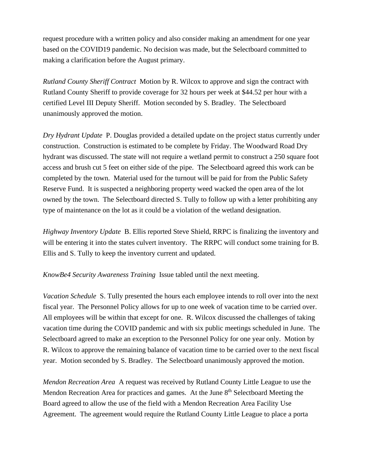request procedure with a written policy and also consider making an amendment for one year based on the COVID19 pandemic. No decision was made, but the Selectboard committed to making a clarification before the August primary.

*Rutland County Sheriff Contract* Motion by R. Wilcox to approve and sign the contract with Rutland County Sheriff to provide coverage for 32 hours per week at \$44.52 per hour with a certified Level III Deputy Sheriff. Motion seconded by S. Bradley. The Selectboard unanimously approved the motion.

*Dry Hydrant Update* P. Douglas provided a detailed update on the project status currently under construction.Construction is estimated to be complete by Friday. The Woodward Road Dry hydrant was discussed. The state will not require a wetland permit to construct a 250 square foot access and brush cut 5 feet on either side of the pipe. The Selectboard agreed this work can be completed by the town. Material used for the turnout will be paid for from the Public Safety Reserve Fund. It is suspected a neighboring property weed wacked the open area of the lot owned by the town. The Selectboard directed S. Tully to follow up with a letter prohibiting any type of maintenance on the lot as it could be a violation of the wetland designation.

*Highway Inventory Update* B. Ellis reported Steve Shield, RRPC is finalizing the inventory and will be entering it into the states culvert inventory. The RRPC will conduct some training for B. Ellis and S. Tully to keep the inventory current and updated.

#### *KnowBe4 Security Awareness Training* Issue tabled until the next meeting.

*Vacation Schedule* S. Tully presented the hours each employee intends to roll over into the next fiscal year. The Personnel Policy allows for up to one week of vacation time to be carried over. All employees will be within that except for one. R. Wilcox discussed the challenges of taking vacation time during the COVID pandemic and with six public meetings scheduled in June. The Selectboard agreed to make an exception to the Personnel Policy for one year only. Motion by R. Wilcox to approve the remaining balance of vacation time to be carried over to the next fiscal year. Motion seconded by S. Bradley. The Selectboard unanimously approved the motion.

*Mendon Recreation Area* A request was received by Rutland County Little League to use the Mendon Recreation Area for practices and games. At the June 8<sup>th</sup> Selectboard Meeting the Board agreed to allow the use of the field with a Mendon Recreation Area Facility Use Agreement. The agreement would require the Rutland County Little League to place a porta